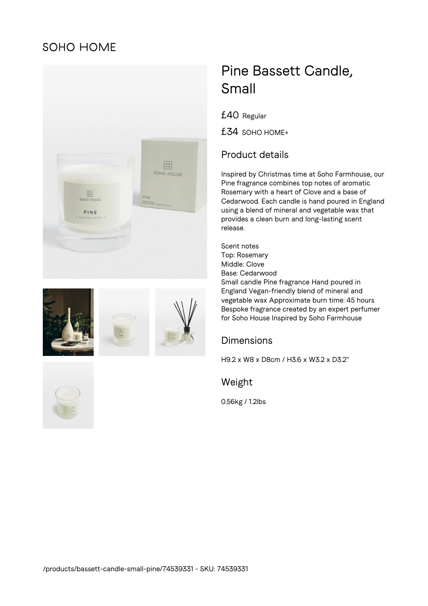## SOHO HOME









# Pine Bassett Candle, Small

£40 Regular

£34 SOHO HOME+

### Product details

Inspired by Christmas time at Soho Farmhouse, our Pine fragrance combines top notes of aromatic Rosemary with a heart of Clove and a base of Cedarwood. Each candle is hand poured in England using a blend of mineral and vegetable wax that provides a clean burn and long-lasting scent release.

Scent notes Top: Rosemary Middle: Clove Base: Cedarwood Small candle Pine fragrance Hand poured in England Vegan-friendly blend of mineral and vegetable wax Approximate burn time: 45 hours Bespoke fragrance created by an expert perfumer for Soho House Inspired by Soho Farmhouse

#### **Dimensions**

H9.2 x W8 x D8cm / H3.6 x W3.2 x D3.2"

Weight

0.56kg / 1.2lbs